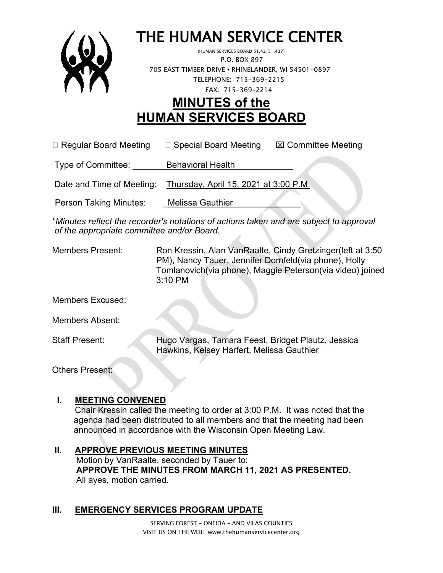

# THE HUMAN SERVICE CENTER (HUMAN SERVICES BOARD 51.42/51.437)

 P.O. BOX 897 705 EAST TIMBER DRIVE **•** RHINELANDER, WI 54501-0897 TELEPHONE: 715-369-2215 FAX: 715-369-2214

## **MINUTES of the HUMAN SERVICES BOARD**

 $\Box$  Regular Board Meeting  $\Box$  Special Board Meeting  $\Box$  Committee Meeting

Type of Committee: Behavioral Health

Date and Time of Meeting: Thursday, April 15, 2021 at 3:00 P.M.

Person Taking Minutes: Melissa Gauthier

\**Minutes reflect the recorder's notations of actions taken and are subject to approval of the appropriate committee and/or Board.*

Members Present: Ron Kressin, Alan VanRaalte, Cindy Gretzinger(left at 3:50 PM), Nancy Tauer, Jennifer Dornfeld(via phone), Holly Tomlanovich(via phone), Maggie Peterson(via video) joined 3:10 PM

Members Excused:

Members Absent:

Staff Present: Hugo Vargas, Tamara Feest, Bridget Plautz, Jessica Hawkins, Kelsey Harfert, Melissa Gauthier

Others Present:

#### **I. MEETING CONVENED**

Chair Kressin called the meeting to order at 3:00 P.M. It was noted that the agenda had been distributed to all members and that the meeting had been announced in accordance with the Wisconsin Open Meeting Law.

#### **II. APPROVE PREVIOUS MEETING MINUTES**

 Motion by VanRaalte, seconded by Tauer to:  **APPROVE THE MINUTES FROM MARCH 11, 2021 AS PRESENTED.** All ayes, motion carried.

#### **III. EMERGENCY SERVICES PROGRAM UPDATE**

SERVING FOREST – ONEIDA – AND VILAS COUNTIES VISIT US ON THE WEB: www.thehumanservicecenter.org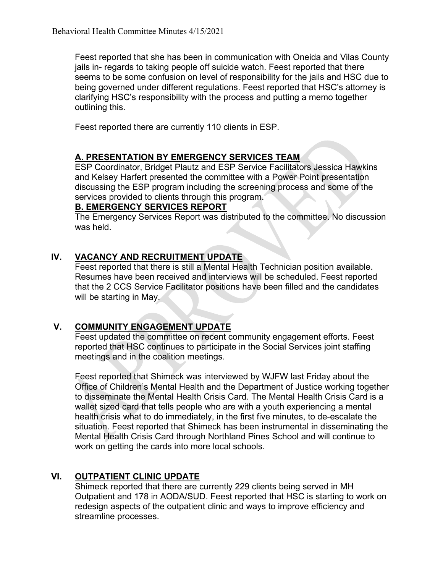Feest reported that she has been in communication with Oneida and Vilas County jails in- regards to taking people off suicide watch. Feest reported that there seems to be some confusion on level of responsibility for the jails and HSC due to being governed under different regulations. Feest reported that HSC's attorney is clarifying HSC's responsibility with the process and putting a memo together outlining this.

Feest reported there are currently 110 clients in ESP.

#### **A. PRESENTATION BY EMERGENCY SERVICES TEAM**

ESP Coordinator, Bridget Plautz and ESP Service Facilitators Jessica Hawkins and Kelsey Harfert presented the committee with a Power Point presentation discussing the ESP program including the screening process and some of the services provided to clients through this program.

#### **B. EMERGENCY SERVICES REPORT**

The Emergency Services Report was distributed to the committee. No discussion was held.

### **IV. VACANCY AND RECRUITMENT UPDATE**

Feest reported that there is still a Mental Health Technician position available. Resumes have been received and interviews will be scheduled. Feest reported that the 2 CCS Service Facilitator positions have been filled and the candidates will be starting in May.

#### **V. COMMUNITY ENGAGEMENT UPDATE**

Feest updated the committee on recent community engagement efforts. Feest reported that HSC continues to participate in the Social Services joint staffing meetings and in the coalition meetings.

Feest reported that Shimeck was interviewed by WJFW last Friday about the Office of Children's Mental Health and the Department of Justice working together to disseminate the Mental Health Crisis Card. The Mental Health Crisis Card is a wallet sized card that tells people who are with a youth experiencing a mental health crisis what to do immediately, in the first five minutes, to de-escalate the situation. Feest reported that Shimeck has been instrumental in disseminating the Mental Health Crisis Card through Northland Pines School and will continue to work on getting the cards into more local schools.

#### **VI. OUTPATIENT CLINIC UPDATE**

Shimeck reported that there are currently 229 clients being served in MH Outpatient and 178 in AODA/SUD. Feest reported that HSC is starting to work on redesign aspects of the outpatient clinic and ways to improve efficiency and streamline processes.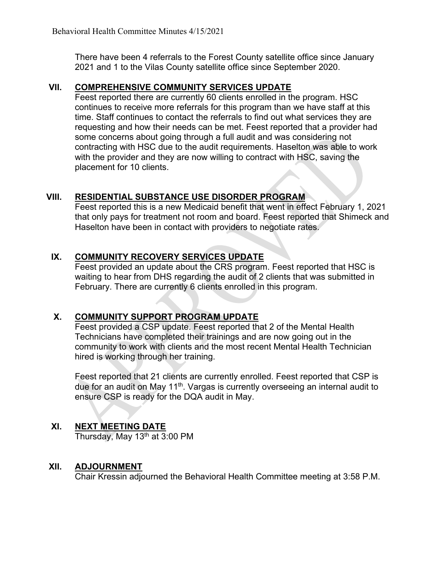There have been 4 referrals to the Forest County satellite office since January 2021 and 1 to the Vilas County satellite office since September 2020.

#### **VII. COMPREHENSIVE COMMUNITY SERVICES UPDATE**

Feest reported there are currently 60 clients enrolled in the program. HSC continues to receive more referrals for this program than we have staff at this time. Staff continues to contact the referrals to find out what services they are requesting and how their needs can be met. Feest reported that a provider had some concerns about going through a full audit and was considering not contracting with HSC due to the audit requirements. Haselton was able to work with the provider and they are now willing to contract with HSC, saving the placement for 10 clients.

#### **VIII. RESIDENTIAL SUBSTANCE USE DISORDER PROGRAM**

Feest reported this is a new Medicaid benefit that went in effect February 1, 2021 that only pays for treatment not room and board. Feest reported that Shimeck and Haselton have been in contact with providers to negotiate rates.

#### **IX. COMMUNITY RECOVERY SERVICES UPDATE**

Feest provided an update about the CRS program. Feest reported that HSC is waiting to hear from DHS regarding the audit of 2 clients that was submitted in February. There are currently 6 clients enrolled in this program.

#### **X. COMMUNITY SUPPORT PROGRAM UPDATE**

Feest provided a CSP update. Feest reported that 2 of the Mental Health Technicians have completed their trainings and are now going out in the community to work with clients and the most recent Mental Health Technician hired is working through her training.

Feest reported that 21 clients are currently enrolled. Feest reported that CSP is due for an audit on May 11<sup>th</sup>. Vargas is currently overseeing an internal audit to ensure CSP is ready for the DQA audit in May.

#### **XI. NEXT MEETING DATE**

Thursday, May  $13<sup>th</sup>$  at 3:00 PM

#### **XII. ADJOURNMENT**

Chair Kressin adjourned the Behavioral Health Committee meeting at 3:58 P.M.